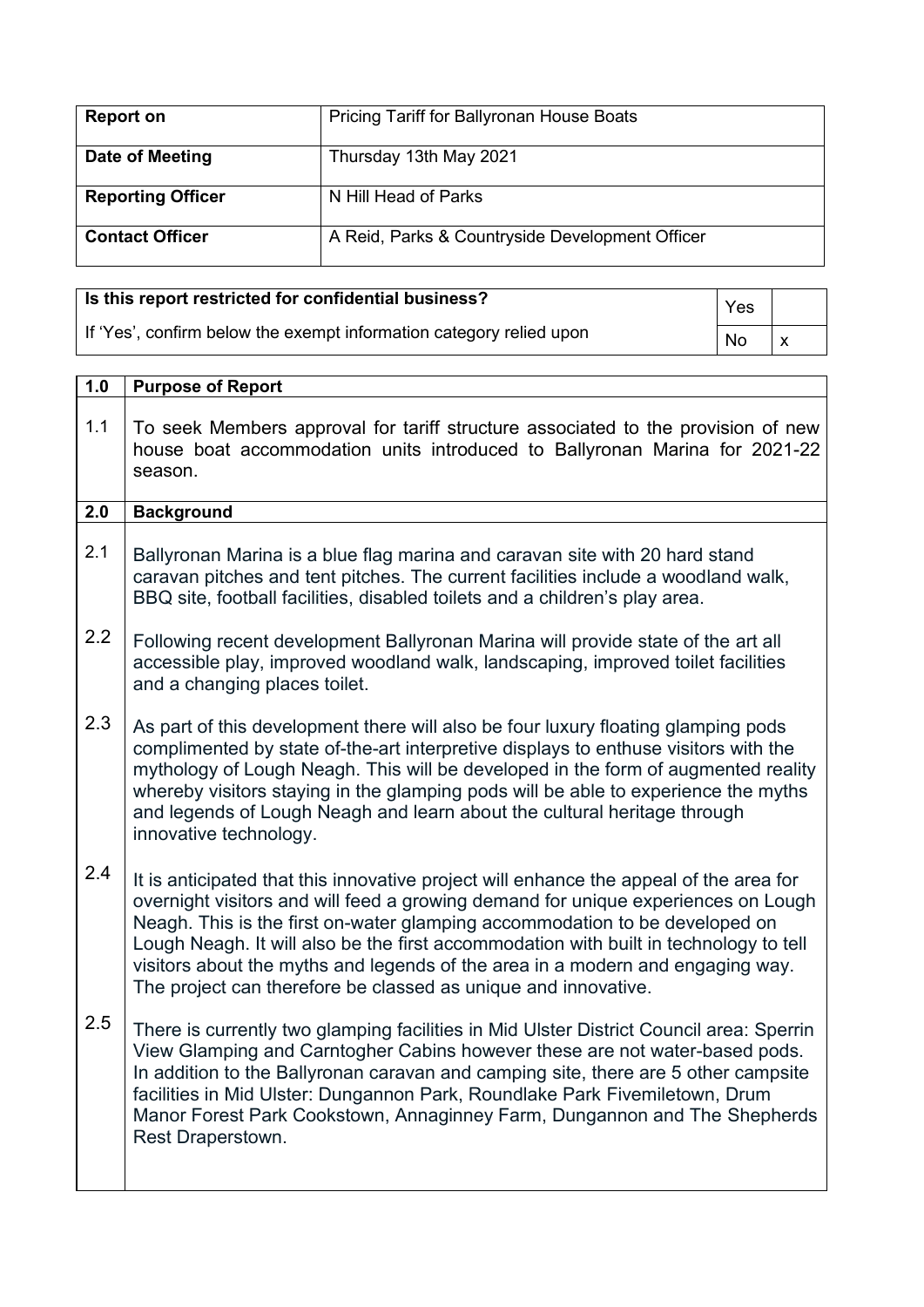| <b>Report on</b>         | Pricing Tariff for Ballyronan House Boats       |
|--------------------------|-------------------------------------------------|
| Date of Meeting          | Thursday 13th May 2021                          |
| <b>Reporting Officer</b> | N Hill Head of Parks                            |
| <b>Contact Officer</b>   | A Reid, Parks & Countryside Development Officer |

## **Is this report restricted for confidential business?**

If 'Yes', confirm below the exempt information category relied upon

Yes No  $\vert x \vert$ 

| 1.0 | <b>Purpose of Report</b>                                                                                                                                                                                                                                                                                                                                                                                                                                                                                |
|-----|---------------------------------------------------------------------------------------------------------------------------------------------------------------------------------------------------------------------------------------------------------------------------------------------------------------------------------------------------------------------------------------------------------------------------------------------------------------------------------------------------------|
| 1.1 | To seek Members approval for tariff structure associated to the provision of new<br>house boat accommodation units introduced to Ballyronan Marina for 2021-22<br>season.                                                                                                                                                                                                                                                                                                                               |
| 2.0 | <b>Background</b>                                                                                                                                                                                                                                                                                                                                                                                                                                                                                       |
| 2.1 | Ballyronan Marina is a blue flag marina and caravan site with 20 hard stand<br>caravan pitches and tent pitches. The current facilities include a woodland walk,<br>BBQ site, football facilities, disabled toilets and a children's play area.                                                                                                                                                                                                                                                         |
| 2.2 | Following recent development Ballyronan Marina will provide state of the art all<br>accessible play, improved woodland walk, landscaping, improved toilet facilities<br>and a changing places toilet.                                                                                                                                                                                                                                                                                                   |
| 2.3 | As part of this development there will also be four luxury floating glamping pods<br>complimented by state of-the-art interpretive displays to enthuse visitors with the<br>mythology of Lough Neagh. This will be developed in the form of augmented reality<br>whereby visitors staying in the glamping pods will be able to experience the myths<br>and legends of Lough Neagh and learn about the cultural heritage through<br>innovative technology.                                               |
| 2.4 | It is anticipated that this innovative project will enhance the appeal of the area for<br>overnight visitors and will feed a growing demand for unique experiences on Lough<br>Neagh. This is the first on-water glamping accommodation to be developed on<br>Lough Neagh. It will also be the first accommodation with built in technology to tell<br>visitors about the myths and legends of the area in a modern and engaging way.<br>The project can therefore be classed as unique and innovative. |
| 2.5 | There is currently two glamping facilities in Mid Ulster District Council area: Sperrin<br>View Glamping and Carntogher Cabins however these are not water-based pods.<br>In addition to the Ballyronan caravan and camping site, there are 5 other campsite<br>facilities in Mid Ulster: Dungannon Park, Roundlake Park Fivemiletown, Drum<br>Manor Forest Park Cookstown, Annaginney Farm, Dungannon and The Shepherds<br>Rest Draperstown.                                                           |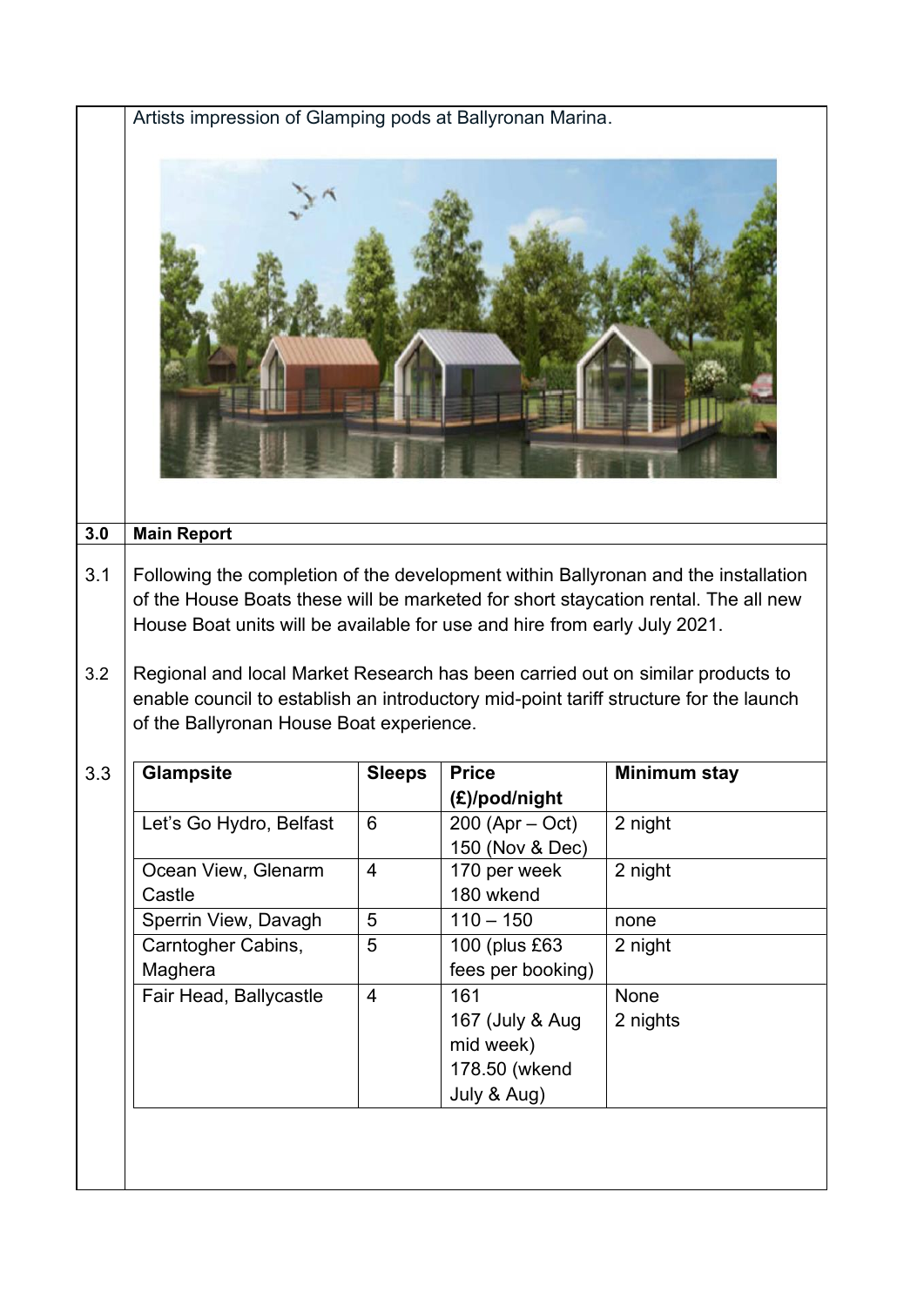|            | Artists impression of Glamping pods at Ballyronan Marina.                                                                                                                                                                                                                                                                                                                                                                                                                    |                |                                                                     |                  |  |
|------------|------------------------------------------------------------------------------------------------------------------------------------------------------------------------------------------------------------------------------------------------------------------------------------------------------------------------------------------------------------------------------------------------------------------------------------------------------------------------------|----------------|---------------------------------------------------------------------|------------------|--|
|            |                                                                                                                                                                                                                                                                                                                                                                                                                                                                              |                |                                                                     |                  |  |
| 3.0        | <b>Main Report</b>                                                                                                                                                                                                                                                                                                                                                                                                                                                           |                |                                                                     |                  |  |
| 3.1<br>3.2 | Following the completion of the development within Ballyronan and the installation<br>of the House Boats these will be marketed for short staycation rental. The all new<br>House Boat units will be available for use and hire from early July 2021.<br>Regional and local Market Research has been carried out on similar products to<br>enable council to establish an introductory mid-point tariff structure for the launch<br>of the Ballyronan House Boat experience. |                |                                                                     |                  |  |
| 3.3        | <b>Glampsite</b>                                                                                                                                                                                                                                                                                                                                                                                                                                                             | <b>Sleeps</b>  | <b>Price</b><br>(E)/pod/night                                       | Minimum stay     |  |
|            | Let's Go Hydro, Belfast                                                                                                                                                                                                                                                                                                                                                                                                                                                      | 6              | $200$ (Apr $-$ Oct)<br>150 (Nov & Dec)                              | 2 night          |  |
|            | Ocean View, Glenarm<br>Castle                                                                                                                                                                                                                                                                                                                                                                                                                                                | $\overline{4}$ | 170 per week<br>180 wkend                                           | 2 night          |  |
|            | Sperrin View, Davagh                                                                                                                                                                                                                                                                                                                                                                                                                                                         | 5              | $110 - 150$                                                         | none             |  |
|            | Carntogher Cabins,<br>Maghera                                                                                                                                                                                                                                                                                                                                                                                                                                                | 5              | 100 (plus £63<br>fees per booking)                                  | 2 night          |  |
|            | Fair Head, Ballycastle                                                                                                                                                                                                                                                                                                                                                                                                                                                       | $\overline{4}$ | 161<br>167 (July & Aug<br>mid week)<br>178.50 (wkend<br>July & Aug) | None<br>2 nights |  |
|            |                                                                                                                                                                                                                                                                                                                                                                                                                                                                              |                |                                                                     |                  |  |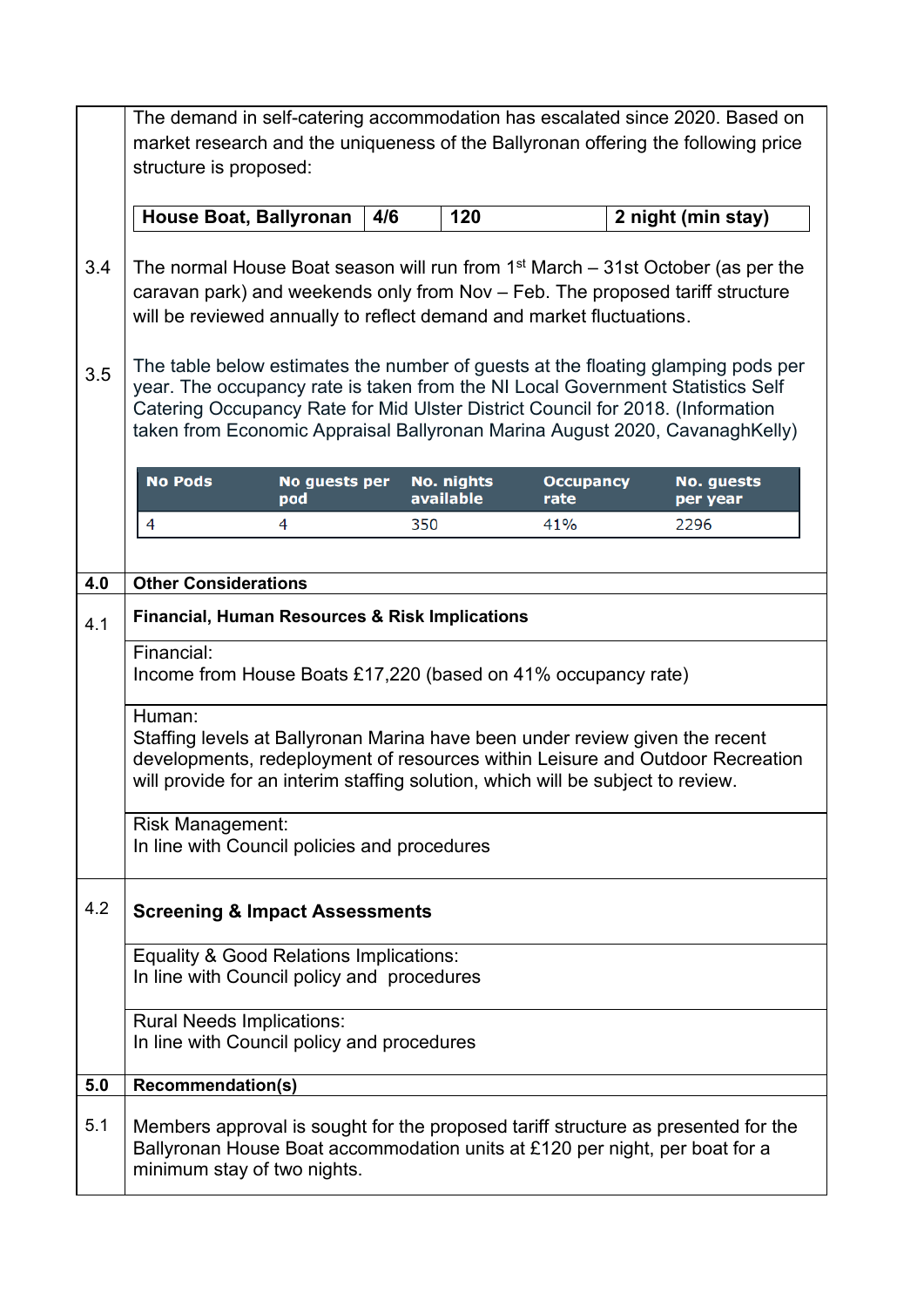|     | The demand in self-catering accommodation has escalated since 2020. Based on<br>market research and the uniqueness of the Ballyronan offering the following price<br>structure is proposed:                                                                                                                                         |                                                                                |     |                         |                          |                        |  |
|-----|-------------------------------------------------------------------------------------------------------------------------------------------------------------------------------------------------------------------------------------------------------------------------------------------------------------------------------------|--------------------------------------------------------------------------------|-----|-------------------------|--------------------------|------------------------|--|
|     |                                                                                                                                                                                                                                                                                                                                     | House Boat, Ballyronan                                                         | 4/6 | 120                     |                          | 2 night (min stay)     |  |
| 3.4 | The normal House Boat season will run from $1st$ March $-$ 31st October (as per the<br>caravan park) and weekends only from Nov - Feb. The proposed tariff structure<br>will be reviewed annually to reflect demand and market fluctuations.                                                                                        |                                                                                |     |                         |                          |                        |  |
| 3.5 | The table below estimates the number of guests at the floating glamping pods per<br>year. The occupancy rate is taken from the NI Local Government Statistics Self<br>Catering Occupancy Rate for Mid Ulster District Council for 2018. (Information<br>taken from Economic Appraisal Ballyronan Marina August 2020, CavanaghKelly) |                                                                                |     |                         |                          |                        |  |
|     | <b>No Pods</b>                                                                                                                                                                                                                                                                                                                      | No guests per<br>pod                                                           |     | No. nights<br>available | <b>Occupancy</b><br>rate | No. guests<br>per year |  |
|     | 4                                                                                                                                                                                                                                                                                                                                   | 4                                                                              | 350 |                         | 41%                      | 2296                   |  |
|     |                                                                                                                                                                                                                                                                                                                                     |                                                                                |     |                         |                          |                        |  |
| 4.0 | <b>Other Considerations</b>                                                                                                                                                                                                                                                                                                         |                                                                                |     |                         |                          |                        |  |
| 4.1 |                                                                                                                                                                                                                                                                                                                                     | <b>Financial, Human Resources &amp; Risk Implications</b>                      |     |                         |                          |                        |  |
|     | Financial:<br>Income from House Boats £17,220 (based on 41% occupancy rate)                                                                                                                                                                                                                                                         |                                                                                |     |                         |                          |                        |  |
|     | Human:<br>Staffing levels at Ballyronan Marina have been under review given the recent<br>developments, redeployment of resources within Leisure and Outdoor Recreation<br>will provide for an interim staffing solution, which will be subject to review.                                                                          |                                                                                |     |                         |                          |                        |  |
|     | <b>Risk Management:</b><br>In line with Council policies and procedures                                                                                                                                                                                                                                                             |                                                                                |     |                         |                          |                        |  |
| 4.2 | <b>Screening &amp; Impact Assessments</b>                                                                                                                                                                                                                                                                                           |                                                                                |     |                         |                          |                        |  |
|     | Equality & Good Relations Implications:<br>In line with Council policy and procedures                                                                                                                                                                                                                                               |                                                                                |     |                         |                          |                        |  |
|     |                                                                                                                                                                                                                                                                                                                                     | <b>Rural Needs Implications:</b><br>In line with Council policy and procedures |     |                         |                          |                        |  |
| 5.0 | <b>Recommendation(s)</b>                                                                                                                                                                                                                                                                                                            |                                                                                |     |                         |                          |                        |  |
| 5.1 | Members approval is sought for the proposed tariff structure as presented for the<br>Ballyronan House Boat accommodation units at £120 per night, per boat for a<br>minimum stay of two nights.                                                                                                                                     |                                                                                |     |                         |                          |                        |  |